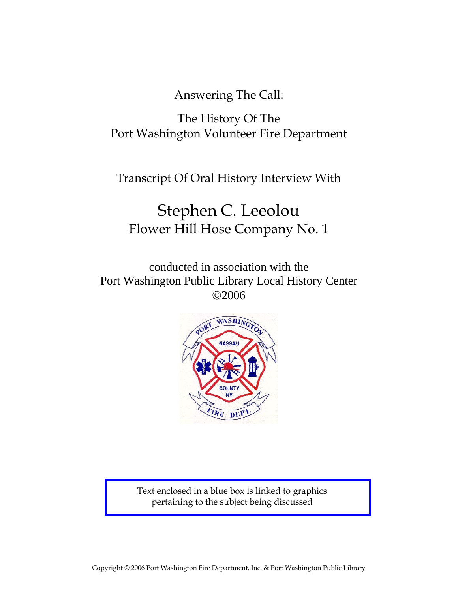Answering The Call:

## The History Of The Port Washington Volunteer Fire Department

Transcript Of Oral History Interview With

# Stephen C. Leeolou Flower Hill Hose Company No. 1

conducted in association with the Port Washington Public Library Local History Center ©2006



Text enclosed in a blue box is linked to graphics pertaining to the subject being discussed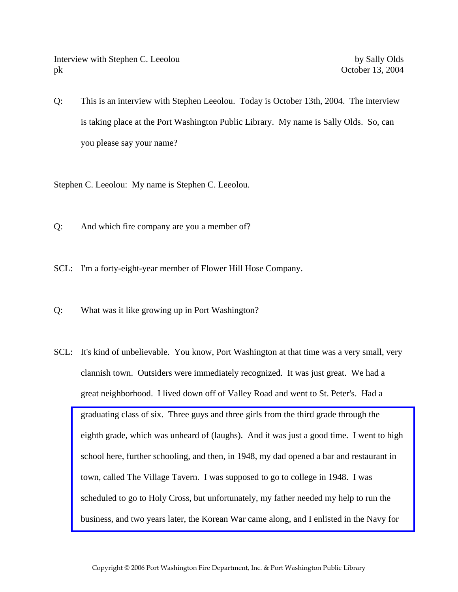Interview with Stephen C. Leeolou by Sally Olds pk October 13, 2004

Q: This is an interview with Stephen Leeolou. Today is October 13th, 2004. The interview is taking place at the Port Washington Public Library. My name is Sally Olds. So, can you please say your name?

Stephen C. Leeolou: My name is Stephen C. Leeolou.

Q: And which fire company are you a member of?

SCL: I'm a forty-eight-year member of Flower Hill Hose Company.

Q: What was it like growing up in Port Washington?

SCL: It's kind of unbelievable. You know, Port Washington at that time was a very small, very clannish town. Outsiders were immediately recognized. It was just great. We had a great neighborhood. I lived down off of Valley Road and went to St. Peter's. Had a graduating class of six. Three guys and three girls from the third grade through the [eighth grade, which was unheard of \(laughs\). And it was just a good time. I went to high](http://www.pwfdhistory.com/trans/leeolous_trans/fhh_members007.jpg)  school here, further schooling, and then, in 1948, my dad opened a bar and restaurant in town, called The Village Tavern. I was supposed to go to college in 1948. I was scheduled to go to Holy Cross, but unfortunately, my father needed my help to run the business, and two years later, the Korean War came along, and I enlisted in the Navy for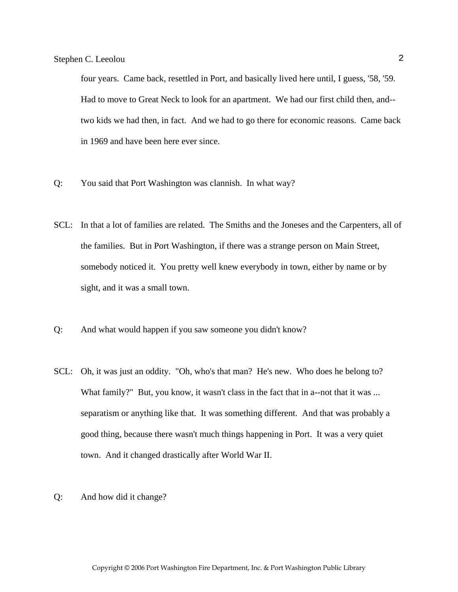four years. Came back, resettled in Port, and basically lived here until, I guess, '58, '59. Had to move to Great Neck to look for an apartment. We had our first child then, and- two kids we had then, in fact. And we had to go there for economic reasons. Came back in 1969 and have been here ever since.

- Q: You said that Port Washington was clannish. In what way?
- SCL: In that a lot of families are related. The Smiths and the Joneses and the Carpenters, all of the families. But in Port Washington, if there was a strange person on Main Street, somebody noticed it. You pretty well knew everybody in town, either by name or by sight, and it was a small town.
- Q: And what would happen if you saw someone you didn't know?
- SCL: Oh, it was just an oddity. "Oh, who's that man? He's new. Who does he belong to? What family?" But, you know, it wasn't class in the fact that in a--not that it was ... separatism or anything like that. It was something different. And that was probably a good thing, because there wasn't much things happening in Port. It was a very quiet town. And it changed drastically after World War II.
- Q: And how did it change?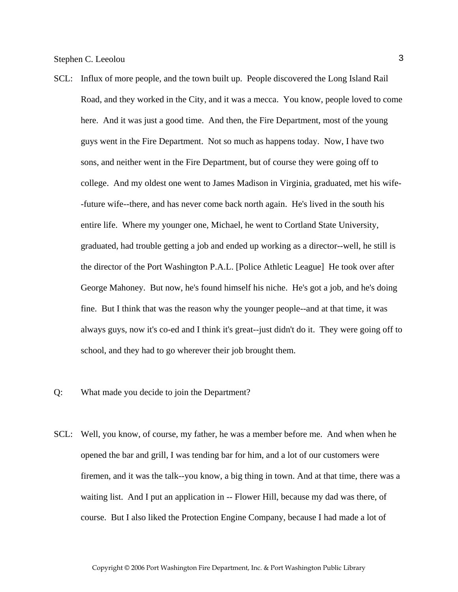- SCL: Influx of more people, and the town built up. People discovered the Long Island Rail Road, and they worked in the City, and it was a mecca. You know, people loved to come here. And it was just a good time. And then, the Fire Department, most of the young guys went in the Fire Department. Not so much as happens today. Now, I have two sons, and neither went in the Fire Department, but of course they were going off to college. And my oldest one went to James Madison in Virginia, graduated, met his wife- -future wife--there, and has never come back north again. He's lived in the south his entire life. Where my younger one, Michael, he went to Cortland State University, graduated, had trouble getting a job and ended up working as a director--well, he still is the director of the Port Washington P.A.L. [Police Athletic League] He took over after George Mahoney. But now, he's found himself his niche. He's got a job, and he's doing fine. But I think that was the reason why the younger people--and at that time, it was always guys, now it's co-ed and I think it's great--just didn't do it. They were going off to school, and they had to go wherever their job brought them.
- Q: What made you decide to join the Department?
- SCL: Well, you know, of course, my father, he was a member before me. And when when he opened the bar and grill, I was tending bar for him, and a lot of our customers were firemen, and it was the talk--you know, a big thing in town. And at that time, there was a waiting list. And I put an application in -- Flower Hill, because my dad was there, of course. But I also liked the Protection Engine Company, because I had made a lot of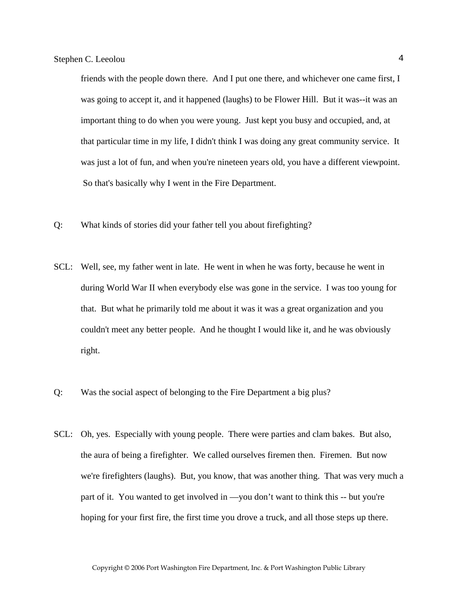friends with the people down there. And I put one there, and whichever one came first, I was going to accept it, and it happened (laughs) to be Flower Hill. But it was--it was an important thing to do when you were young. Just kept you busy and occupied, and, at that particular time in my life, I didn't think I was doing any great community service. It was just a lot of fun, and when you're nineteen years old, you have a different viewpoint. So that's basically why I went in the Fire Department.

- Q: What kinds of stories did your father tell you about firefighting?
- SCL: Well, see, my father went in late. He went in when he was forty, because he went in during World War II when everybody else was gone in the service. I was too young for that. But what he primarily told me about it was it was a great organization and you couldn't meet any better people. And he thought I would like it, and he was obviously right.
- Q: Was the social aspect of belonging to the Fire Department a big plus?
- SCL: Oh, yes. Especially with young people. There were parties and clam bakes. But also, the aura of being a firefighter. We called ourselves firemen then. Firemen. But now we're firefighters (laughs). But, you know, that was another thing. That was very much a part of it. You wanted to get involved in —you don't want to think this -- but you're hoping for your first fire, the first time you drove a truck, and all those steps up there.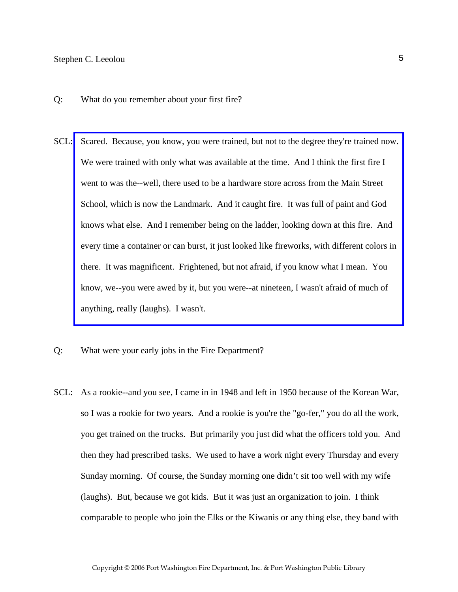- Q: What do you remember about your first fire?
- SCL: [Scared. Because, you know, you were trained, but not to the degree they're trained now.](http://www.pwfdhistory.com/trans/leeolous_trans/pwfd_fires05_web.pdf)  We were trained with only what was available at the time. And I think the first fire I went to was the--well, there used to be a hardware store across from the Main Street School, which is now the Landmark. And it caught fire. It was full of paint and God knows what else. And I remember being on the ladder, looking down at this fire. And every time a container or can burst, it just looked like fireworks, with different colors in there. It was magnificent. Frightened, but not afraid, if you know what I mean. You know, we--you were awed by it, but you were--at nineteen, I wasn't afraid of much of anything, really (laughs). I wasn't.
- Q: What were your early jobs in the Fire Department?
- SCL: As a rookie--and you see, I came in in 1948 and left in 1950 because of the Korean War, so I was a rookie for two years. And a rookie is you're the "go-fer," you do all the work, you get trained on the trucks. But primarily you just did what the officers told you. And then they had prescribed tasks. We used to have a work night every Thursday and every Sunday morning. Of course, the Sunday morning one didn't sit too well with my wife (laughs). But, because we got kids. But it was just an organization to join. I think comparable to people who join the Elks or the Kiwanis or any thing else, they band with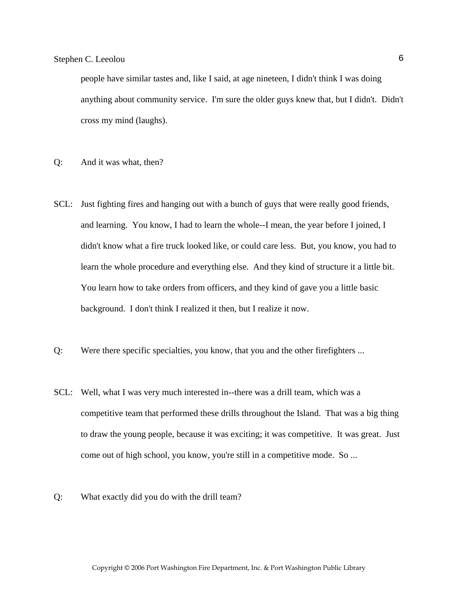people have similar tastes and, like I said, at age nineteen, I didn't think I was doing anything about community service. I'm sure the older guys knew that, but I didn't. Didn't cross my mind (laughs).

- Q: And it was what, then?
- SCL: Just fighting fires and hanging out with a bunch of guys that were really good friends, and learning. You know, I had to learn the whole--I mean, the year before I joined, I didn't know what a fire truck looked like, or could care less. But, you know, you had to learn the whole procedure and everything else. And they kind of structure it a little bit. You learn how to take orders from officers, and they kind of gave you a little basic background. I don't think I realized it then, but I realize it now.
- Q: Were there specific specialties, you know, that you and the other firefighters ...
- SCL: Well, what I was very much interested in--there was a drill team, which was a competitive team that performed these drills throughout the Island. That was a big thing to draw the young people, because it was exciting; it was competitive. It was great. Just come out of high school, you know, you're still in a competitive mode. So ...
- Q: What exactly did you do with the drill team?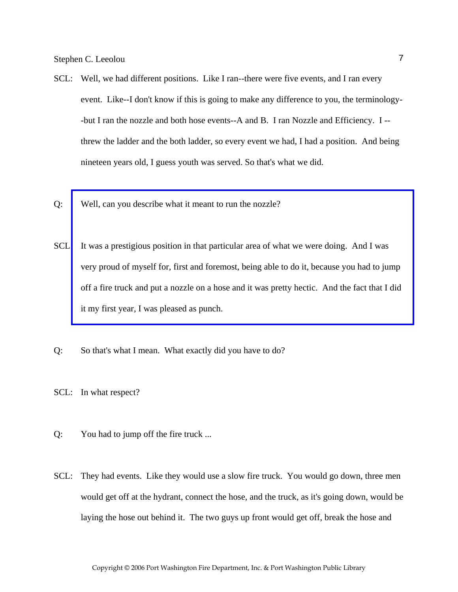- SCL: Well, we had different positions. Like I ran--there were five events, and I ran every event. Like--I don't know if this is going to make any difference to you, the terminology- -but I ran the nozzle and both hose events--A and B. I ran Nozzle and Efficiency. I - threw the ladder and the both ladder, so every event we had, I had a position. And being nineteen years old, I guess youth was served. So that's what we did.
- Q: Well, can you describe what it meant to run the nozzle?
- SCL: It was a prestigious position in that particular area of what we were doing. And I was very proud of myself for, first and foremost, being able to do it, because you had to jump [off a fire truck and put a nozzle on a hose and it was pretty hectic. And the fact that I did](http://www.pwfdhistory.com/trans/leeolous_trans/fhh_racing008_web.jpg)  it my first year, I was pleased as punch.
- Q: So that's what I mean. What exactly did you have to do?
- SCL: In what respect?
- Q: You had to jump off the fire truck ...
- SCL: They had events. Like they would use a slow fire truck. You would go down, three men would get off at the hydrant, connect the hose, and the truck, as it's going down, would be laying the hose out behind it. The two guys up front would get off, break the hose and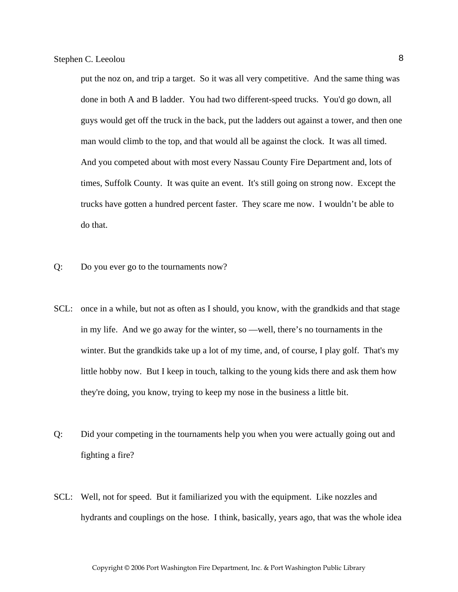put the noz on, and trip a target. So it was all very competitive. And the same thing was done in both A and B ladder. You had two different-speed trucks. You'd go down, all guys would get off the truck in the back, put the ladders out against a tower, and then one man would climb to the top, and that would all be against the clock. It was all timed. And you competed about with most every Nassau County Fire Department and, lots of times, Suffolk County. It was quite an event. It's still going on strong now. Except the trucks have gotten a hundred percent faster. They scare me now. I wouldn't be able to do that.

- Q: Do you ever go to the tournaments now?
- SCL: once in a while, but not as often as I should, you know, with the grandkids and that stage in my life. And we go away for the winter, so —well, there's no tournaments in the winter. But the grandkids take up a lot of my time, and, of course, I play golf. That's my little hobby now. But I keep in touch, talking to the young kids there and ask them how they're doing, you know, trying to keep my nose in the business a little bit.
- Q: Did your competing in the tournaments help you when you were actually going out and fighting a fire?
- SCL: Well, not for speed. But it familiarized you with the equipment. Like nozzles and hydrants and couplings on the hose. I think, basically, years ago, that was the whole idea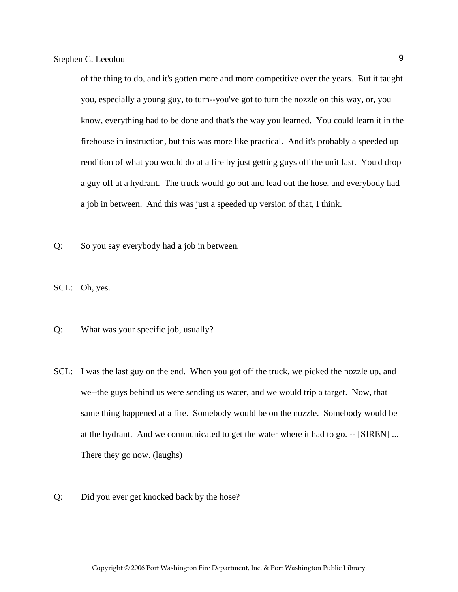of the thing to do, and it's gotten more and more competitive over the years. But it taught you, especially a young guy, to turn--you've got to turn the nozzle on this way, or, you know, everything had to be done and that's the way you learned. You could learn it in the firehouse in instruction, but this was more like practical. And it's probably a speeded up rendition of what you would do at a fire by just getting guys off the unit fast. You'd drop a guy off at a hydrant. The truck would go out and lead out the hose, and everybody had a job in between. And this was just a speeded up version of that, I think.

Q: So you say everybody had a job in between.

SCL: Oh, yes.

- Q: What was your specific job, usually?
- SCL: I was the last guy on the end. When you got off the truck, we picked the nozzle up, and we--the guys behind us were sending us water, and we would trip a target. Now, that same thing happened at a fire. Somebody would be on the nozzle. Somebody would be at the hydrant. And we communicated to get the water where it had to go. -- [SIREN] ... There they go now. (laughs)
- Q: Did you ever get knocked back by the hose?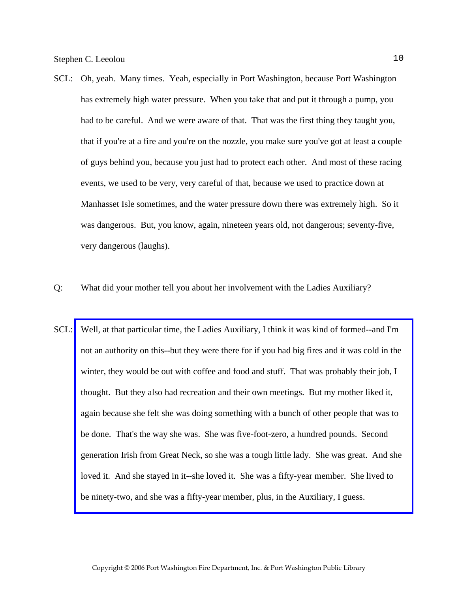- SCL: Oh, yeah. Many times. Yeah, especially in Port Washington, because Port Washington has extremely high water pressure. When you take that and put it through a pump, you had to be careful. And we were aware of that. That was the first thing they taught you, that if you're at a fire and you're on the nozzle, you make sure you've got at least a couple of guys behind you, because you just had to protect each other. And most of these racing events, we used to be very, very careful of that, because we used to practice down at Manhasset Isle sometimes, and the water pressure down there was extremely high. So it was dangerous. But, you know, again, nineteen years old, not dangerous; seventy-five, very dangerous (laughs).
- Q: What did your mother tell you about her involvement with the Ladies Auxiliary?
- SCL: [Well, at that particular time, the Ladies Auxiliary, I think it was kind of formed--and I'm](http://www.pwfdhistory.com/trans/leeolous_trans/fhh_aux001_web.jpg)  not an authority on this--but they were there for if you had big fires and it was cold in the winter, they would be out with coffee and food and stuff. That was probably their job, I thought. But they also had recreation and their own meetings. But my mother liked it, again because she felt she was doing something with a bunch of other people that was to be done. That's the way she was. She was five-foot-zero, a hundred pounds. Second generation Irish from Great Neck, so she was a tough little lady. She was great. And she loved it. And she stayed in it--she loved it. She was a fifty-year member. She lived to be ninety-two, and she was a fifty-year member, plus, in the Auxiliary, I guess.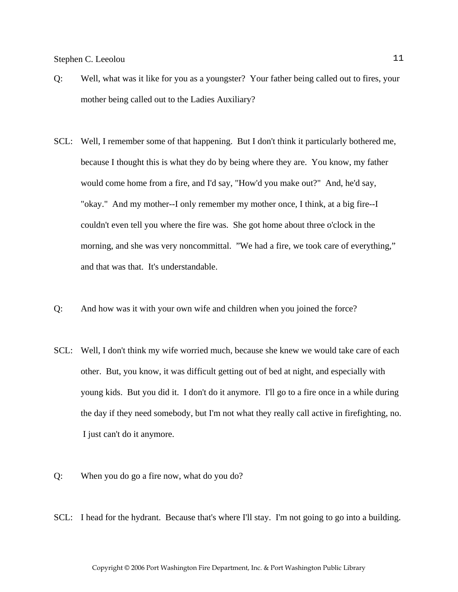- Q: Well, what was it like for you as a youngster? Your father being called out to fires, your mother being called out to the Ladies Auxiliary?
- SCL: Well, I remember some of that happening. But I don't think it particularly bothered me, because I thought this is what they do by being where they are. You know, my father would come home from a fire, and I'd say, "How'd you make out?" And, he'd say, "okay." And my mother--I only remember my mother once, I think, at a big fire--I couldn't even tell you where the fire was. She got home about three o'clock in the morning, and she was very noncommittal. "We had a fire, we took care of everything," and that was that. It's understandable.
- Q: And how was it with your own wife and children when you joined the force?
- SCL: Well, I don't think my wife worried much, because she knew we would take care of each other. But, you know, it was difficult getting out of bed at night, and especially with young kids. But you did it. I don't do it anymore. I'll go to a fire once in a while during the day if they need somebody, but I'm not what they really call active in firefighting, no. I just can't do it anymore.
- Q: When you do go a fire now, what do you do?
- SCL: I head for the hydrant. Because that's where I'll stay. I'm not going to go into a building.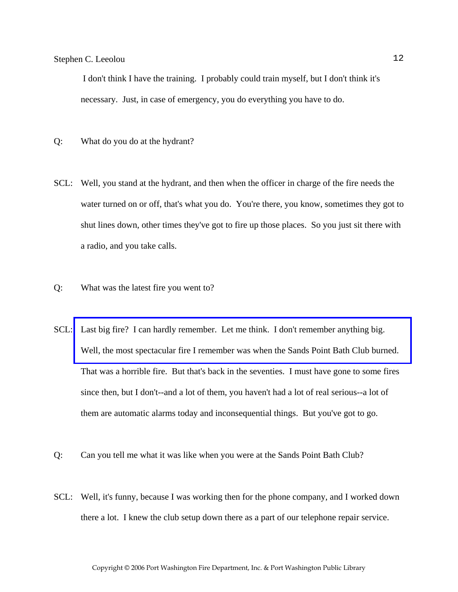I don't think I have the training. I probably could train myself, but I don't think it's necessary. Just, in case of emergency, you do everything you have to do.

- Q: What do you do at the hydrant?
- SCL: Well, you stand at the hydrant, and then when the officer in charge of the fire needs the water turned on or off, that's what you do. You're there, you know, sometimes they got to shut lines down, other times they've got to fire up those places. So you just sit there with a radio, and you take calls.
- Q: What was the latest fire you went to?
- SCL: Last big fire? I can hardly remember. Let me think. I don't remember anything big. [Well, the most spectacular fire I remember was when the Sands Point Bath Club burned.](http://www.pwfdhistory.com/trans/leeolous_trans/nday860319b_pz_web.jpg)  That was a horrible fire. But that's back in the seventies. I must have gone to some fires since then, but I don't--and a lot of them, you haven't had a lot of real serious--a lot of them are automatic alarms today and inconsequential things. But you've got to go.
- Q: Can you tell me what it was like when you were at the Sands Point Bath Club?
- SCL: Well, it's funny, because I was working then for the phone company, and I worked down there a lot. I knew the club setup down there as a part of our telephone repair service.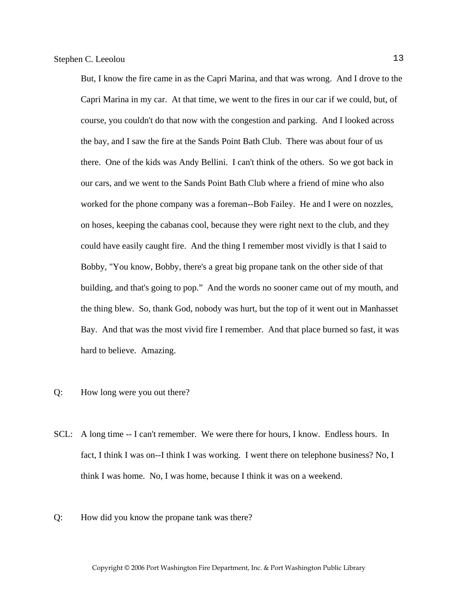But, I know the fire came in as the Capri Marina, and that was wrong. And I drove to the Capri Marina in my car. At that time, we went to the fires in our car if we could, but, of course, you couldn't do that now with the congestion and parking. And I looked across the bay, and I saw the fire at the Sands Point Bath Club. There was about four of us there. One of the kids was Andy Bellini. I can't think of the others. So we got back in our cars, and we went to the Sands Point Bath Club where a friend of mine who also worked for the phone company was a foreman--Bob Failey. He and I were on nozzles, on hoses, keeping the cabanas cool, because they were right next to the club, and they could have easily caught fire. And the thing I remember most vividly is that I said to Bobby, "You know, Bobby, there's a great big propane tank on the other side of that building, and that's going to pop." And the words no sooner came out of my mouth, and the thing blew. So, thank God, nobody was hurt, but the top of it went out in Manhasset Bay. And that was the most vivid fire I remember. And that place burned so fast, it was hard to believe. Amazing.

- Q: How long were you out there?
- SCL: A long time -- I can't remember. We were there for hours, I know. Endless hours. In fact, I think I was on--I think I was working. I went there on telephone business? No, I think I was home. No, I was home, because I think it was on a weekend.
- Q: How did you know the propane tank was there?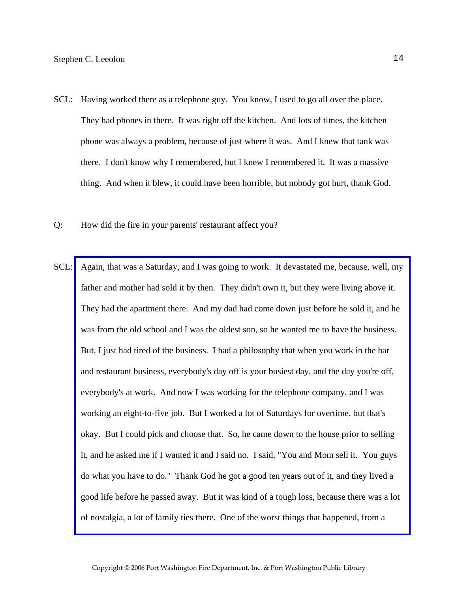- SCL: Having worked there as a telephone guy. You know, I used to go all over the place. They had phones in there. It was right off the kitchen. And lots of times, the kitchen phone was always a problem, because of just where it was. And I knew that tank was there. I don't know why I remembered, but I knew I remembered it. It was a massive thing. And when it blew, it could have been horrible, but nobody got hurt, thank God.
- Q: How did the fire in your parents' restaurant affect you?
- SCL: Again, that was a Saturday, and I was going to work. It devastated me, because, well, my father and mother had sold it by then. They didn't own it, but they were living above it. They had the apartment there. And my dad had come down just before he sold it, and he was from the old school and I was the oldest son, so he wanted me to have the business. But, I just had tired of the business. I had a philosophy that when you work in the bar and restaurant business, everybody's day off is your busiest day, and the day you're off, everybody's at work. And now I was working for the telephone company, and I was working an eight-to-five job. But I worked a lot of Saturdays for overtime, but that's okay. But I could pick and choose that. So, he came down to the house prior to selling it, and he asked me if I wanted it and I said no. I said, "You and Mom sell it. You guys do what you have to do." Thank God he got a good ten years out of it, and they lived a good life before he passed away. But it was kind of a tough loss, because there was a lot of nostalgia, a lot of family ties there. One of the worst things that happened, from a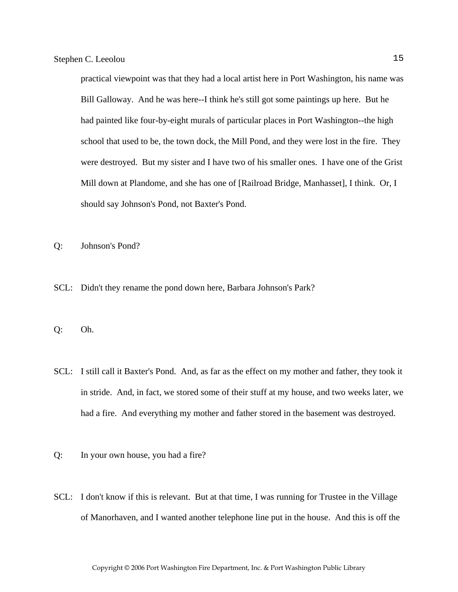practical viewpoint was that they had a local artist here in Port Washington, his name was Bill Galloway. And he was here--I think he's still got some paintings up here. But he had painted like four-by-eight murals of particular places in Port Washington--the high school that used to be, the town dock, the Mill Pond, and they were lost in the fire. They were destroyed. But my sister and I have two of his smaller ones. I have one of the Grist Mill down at Plandome, and she has one of [Railroad Bridge, Manhasset], I think. Or, I should say Johnson's Pond, not Baxter's Pond.

- Q: Johnson's Pond?
- SCL: Didn't they rename the pond down here, Barbara Johnson's Park?
- Q: Oh.
- SCL: I still call it Baxter's Pond. And, as far as the effect on my mother and father, they took it in stride. And, in fact, we stored some of their stuff at my house, and two weeks later, we had a fire. And everything my mother and father stored in the basement was destroyed.
- Q: In your own house, you had a fire?
- SCL: I don't know if this is relevant. But at that time, I was running for Trustee in the Village of Manorhaven, and I wanted another telephone line put in the house. And this is off the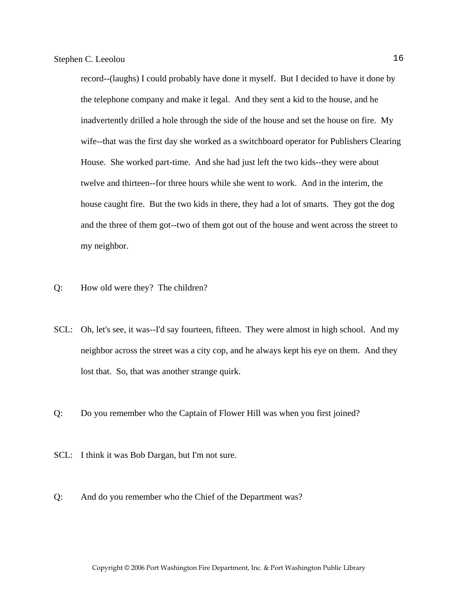record--(laughs) I could probably have done it myself. But I decided to have it done by the telephone company and make it legal. And they sent a kid to the house, and he inadvertently drilled a hole through the side of the house and set the house on fire. My wife--that was the first day she worked as a switchboard operator for Publishers Clearing House. She worked part-time. And she had just left the two kids--they were about twelve and thirteen--for three hours while she went to work. And in the interim, the house caught fire. But the two kids in there, they had a lot of smarts. They got the dog and the three of them got--two of them got out of the house and went across the street to my neighbor.

- Q: How old were they? The children?
- SCL: Oh, let's see, it was--I'd say fourteen, fifteen. They were almost in high school. And my neighbor across the street was a city cop, and he always kept his eye on them. And they lost that. So, that was another strange quirk.
- Q: Do you remember who the Captain of Flower Hill was when you first joined?
- SCL: I think it was Bob Dargan, but I'm not sure.
- Q: And do you remember who the Chief of the Department was?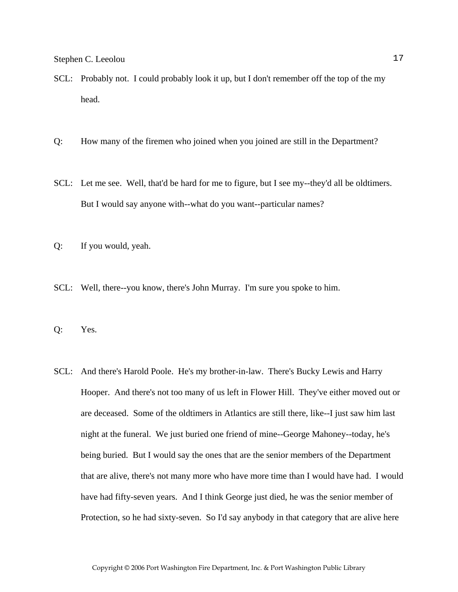- SCL: Probably not. I could probably look it up, but I don't remember off the top of the my head.
- Q: How many of the firemen who joined when you joined are still in the Department?
- SCL: Let me see. Well, that'd be hard for me to figure, but I see my--they'd all be oldtimers. But I would say anyone with--what do you want--particular names?
- Q: If you would, yeah.
- SCL: Well, there--you know, there's John Murray. I'm sure you spoke to him.
- Q: Yes.
- SCL: And there's Harold Poole. He's my brother-in-law. There's Bucky Lewis and Harry Hooper. And there's not too many of us left in Flower Hill. They've either moved out or are deceased. Some of the oldtimers in Atlantics are still there, like--I just saw him last night at the funeral. We just buried one friend of mine--George Mahoney--today, he's being buried. But I would say the ones that are the senior members of the Department that are alive, there's not many more who have more time than I would have had. I would have had fifty-seven years. And I think George just died, he was the senior member of Protection, so he had sixty-seven. So I'd say anybody in that category that are alive here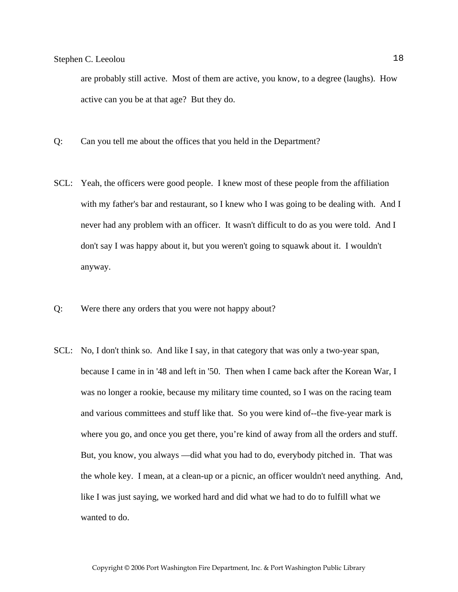are probably still active. Most of them are active, you know, to a degree (laughs). How active can you be at that age? But they do.

- Q: Can you tell me about the offices that you held in the Department?
- SCL: Yeah, the officers were good people. I knew most of these people from the affiliation with my father's bar and restaurant, so I knew who I was going to be dealing with. And I never had any problem with an officer. It wasn't difficult to do as you were told. And I don't say I was happy about it, but you weren't going to squawk about it. I wouldn't anyway.
- Q: Were there any orders that you were not happy about?
- SCL: No, I don't think so. And like I say, in that category that was only a two-year span, because I came in in '48 and left in '50. Then when I came back after the Korean War, I was no longer a rookie, because my military time counted, so I was on the racing team and various committees and stuff like that. So you were kind of--the five-year mark is where you go, and once you get there, you're kind of away from all the orders and stuff. But, you know, you always —did what you had to do, everybody pitched in. That was the whole key. I mean, at a clean-up or a picnic, an officer wouldn't need anything. And, like I was just saying, we worked hard and did what we had to do to fulfill what we wanted to do.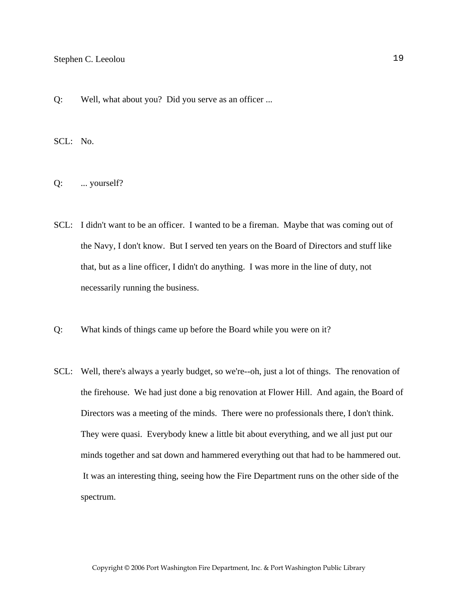Q: Well, what about you? Did you serve as an officer ...

SCL: No.

Q: ... yourself?

- SCL: I didn't want to be an officer. I wanted to be a fireman. Maybe that was coming out of the Navy, I don't know. But I served ten years on the Board of Directors and stuff like that, but as a line officer, I didn't do anything. I was more in the line of duty, not necessarily running the business.
- Q: What kinds of things came up before the Board while you were on it?
- SCL: Well, there's always a yearly budget, so we're--oh, just a lot of things. The renovation of the firehouse. We had just done a big renovation at Flower Hill. And again, the Board of Directors was a meeting of the minds. There were no professionals there, I don't think. They were quasi. Everybody knew a little bit about everything, and we all just put our minds together and sat down and hammered everything out that had to be hammered out. It was an interesting thing, seeing how the Fire Department runs on the other side of the spectrum.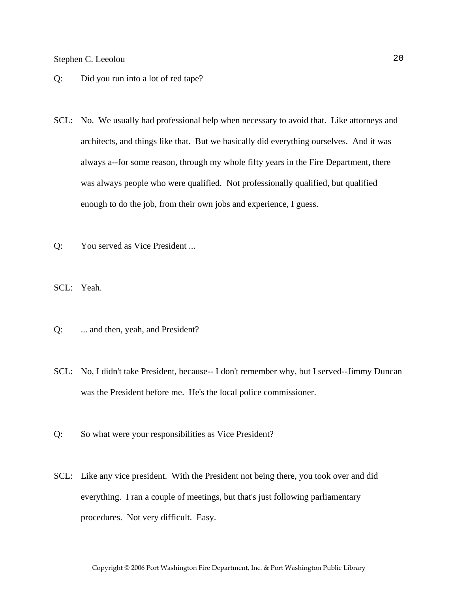- Q: Did you run into a lot of red tape?
- SCL: No. We usually had professional help when necessary to avoid that. Like attorneys and architects, and things like that. But we basically did everything ourselves. And it was always a--for some reason, through my whole fifty years in the Fire Department, there was always people who were qualified. Not professionally qualified, but qualified enough to do the job, from their own jobs and experience, I guess.
- Q: You served as Vice President ...
- SCL: Yeah.
- Q: ... and then, yeah, and President?
- SCL: No, I didn't take President, because-- I don't remember why, but I served--Jimmy Duncan was the President before me. He's the local police commissioner.
- Q: So what were your responsibilities as Vice President?
- SCL: Like any vice president. With the President not being there, you took over and did everything. I ran a couple of meetings, but that's just following parliamentary procedures. Not very difficult. Easy.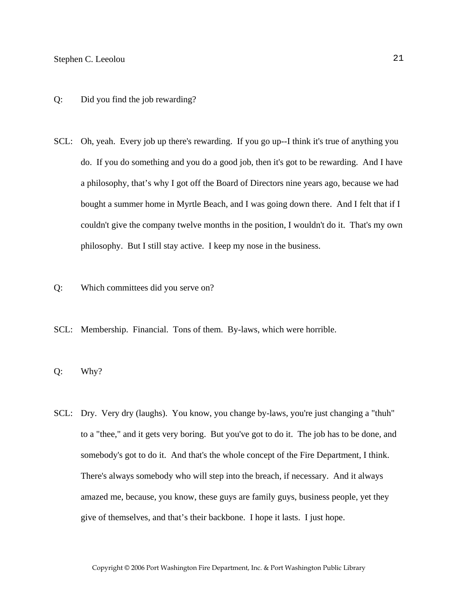- Q: Did you find the job rewarding?
- SCL: Oh, yeah. Every job up there's rewarding. If you go up--I think it's true of anything you do. If you do something and you do a good job, then it's got to be rewarding. And I have a philosophy, that's why I got off the Board of Directors nine years ago, because we had bought a summer home in Myrtle Beach, and I was going down there. And I felt that if I couldn't give the company twelve months in the position, I wouldn't do it. That's my own philosophy. But I still stay active. I keep my nose in the business.
- Q: Which committees did you serve on?
- SCL: Membership. Financial. Tons of them. By-laws, which were horrible.
- Q: Why?
- SCL: Dry. Very dry (laughs). You know, you change by-laws, you're just changing a "thuh" to a "thee," and it gets very boring. But you've got to do it. The job has to be done, and somebody's got to do it. And that's the whole concept of the Fire Department, I think. There's always somebody who will step into the breach, if necessary. And it always amazed me, because, you know, these guys are family guys, business people, yet they give of themselves, and that's their backbone. I hope it lasts. I just hope.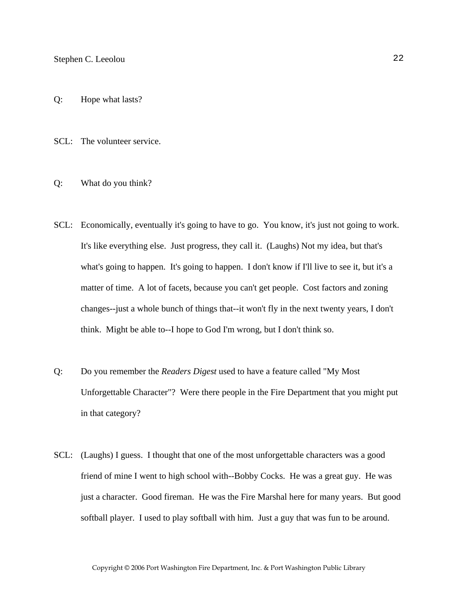- Q: Hope what lasts?
- SCL: The volunteer service.
- Q: What do you think?
- SCL: Economically, eventually it's going to have to go. You know, it's just not going to work. It's like everything else. Just progress, they call it. (Laughs) Not my idea, but that's what's going to happen. It's going to happen. I don't know if I'll live to see it, but it's a matter of time. A lot of facets, because you can't get people. Cost factors and zoning changes--just a whole bunch of things that--it won't fly in the next twenty years, I don't think. Might be able to--I hope to God I'm wrong, but I don't think so.
- Q: Do you remember the *Readers Digest* used to have a feature called "My Most Unforgettable Character"? Were there people in the Fire Department that you might put in that category?
- SCL: (Laughs) I guess. I thought that one of the most unforgettable characters was a good friend of mine I went to high school with--Bobby Cocks. He was a great guy. He was just a character. Good fireman. He was the Fire Marshal here for many years. But good softball player. I used to play softball with him. Just a guy that was fun to be around.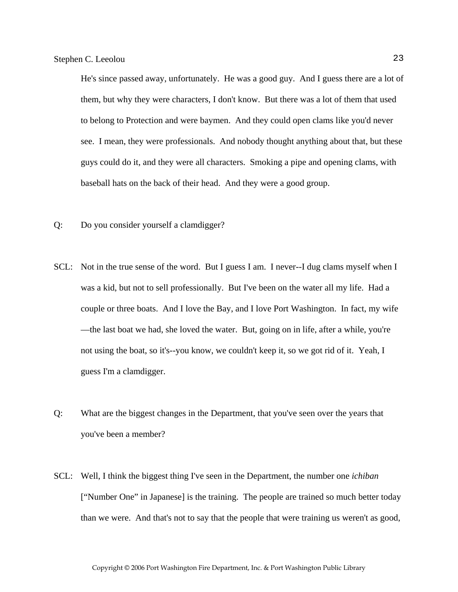He's since passed away, unfortunately. He was a good guy. And I guess there are a lot of them, but why they were characters, I don't know. But there was a lot of them that used to belong to Protection and were baymen. And they could open clams like you'd never see. I mean, they were professionals. And nobody thought anything about that, but these guys could do it, and they were all characters. Smoking a pipe and opening clams, with baseball hats on the back of their head. And they were a good group.

- Q: Do you consider yourself a clamdigger?
- SCL: Not in the true sense of the word. But I guess I am. I never--I dug clams myself when I was a kid, but not to sell professionally. But I've been on the water all my life. Had a couple or three boats. And I love the Bay, and I love Port Washington. In fact, my wife —the last boat we had, she loved the water. But, going on in life, after a while, you're not using the boat, so it's--you know, we couldn't keep it, so we got rid of it. Yeah, I guess I'm a clamdigger.
- Q: What are the biggest changes in the Department, that you've seen over the years that you've been a member?
- SCL: Well, I think the biggest thing I've seen in the Department, the number one *ichiban* ["Number One" in Japanese] is the training. The people are trained so much better today than we were. And that's not to say that the people that were training us weren't as good,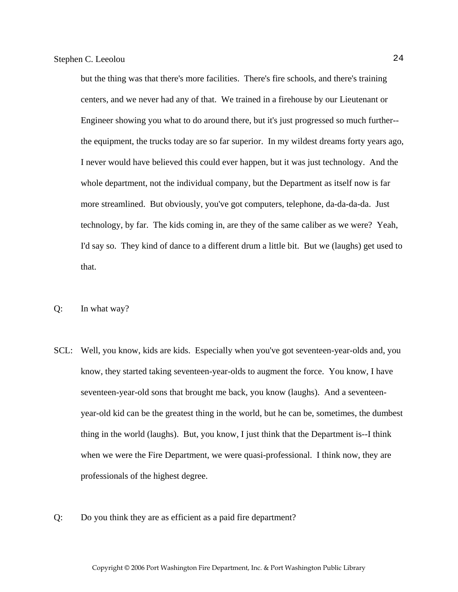but the thing was that there's more facilities. There's fire schools, and there's training centers, and we never had any of that. We trained in a firehouse by our Lieutenant or Engineer showing you what to do around there, but it's just progressed so much further- the equipment, the trucks today are so far superior. In my wildest dreams forty years ago, I never would have believed this could ever happen, but it was just technology. And the whole department, not the individual company, but the Department as itself now is far more streamlined. But obviously, you've got computers, telephone, da-da-da-da. Just technology, by far. The kids coming in, are they of the same caliber as we were? Yeah, I'd say so. They kind of dance to a different drum a little bit. But we (laughs) get used to that.

- Q: In what way?
- SCL: Well, you know, kids are kids. Especially when you've got seventeen-year-olds and, you know, they started taking seventeen-year-olds to augment the force. You know, I have seventeen-year-old sons that brought me back, you know (laughs). And a seventeenyear-old kid can be the greatest thing in the world, but he can be, sometimes, the dumbest thing in the world (laughs). But, you know, I just think that the Department is--I think when we were the Fire Department, we were quasi-professional. I think now, they are professionals of the highest degree.
- Q: Do you think they are as efficient as a paid fire department?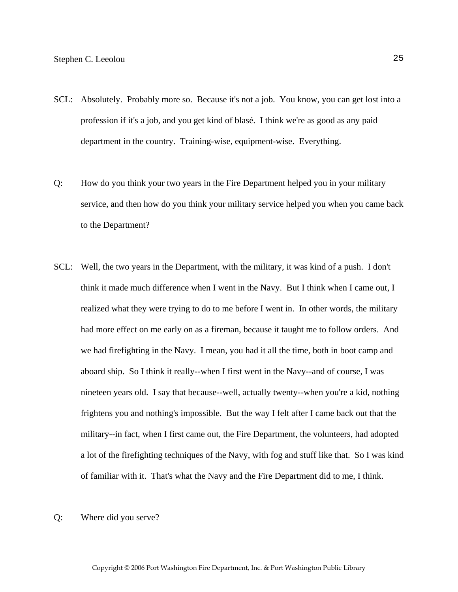- SCL: Absolutely. Probably more so. Because it's not a job. You know, you can get lost into a profession if it's a job, and you get kind of blasé. I think we're as good as any paid department in the country. Training-wise, equipment-wise. Everything.
- Q: How do you think your two years in the Fire Department helped you in your military service, and then how do you think your military service helped you when you came back to the Department?
- SCL: Well, the two years in the Department, with the military, it was kind of a push. I don't think it made much difference when I went in the Navy. But I think when I came out, I realized what they were trying to do to me before I went in. In other words, the military had more effect on me early on as a fireman, because it taught me to follow orders. And we had firefighting in the Navy. I mean, you had it all the time, both in boot camp and aboard ship. So I think it really--when I first went in the Navy--and of course, I was nineteen years old. I say that because--well, actually twenty--when you're a kid, nothing frightens you and nothing's impossible. But the way I felt after I came back out that the military--in fact, when I first came out, the Fire Department, the volunteers, had adopted a lot of the firefighting techniques of the Navy, with fog and stuff like that. So I was kind of familiar with it. That's what the Navy and the Fire Department did to me, I think.
- Q: Where did you serve?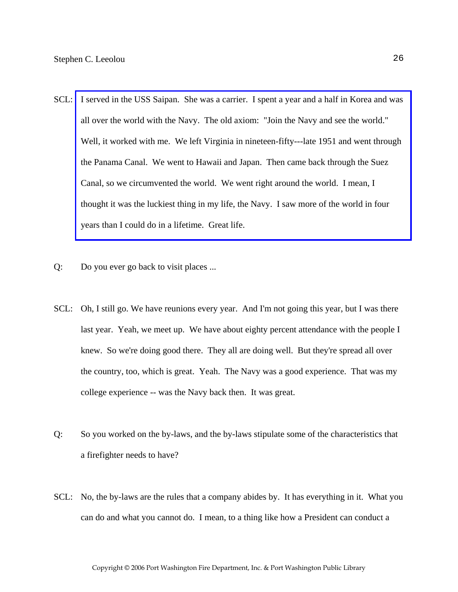- SCL: [I served in the USS Saipan. She was a carrier. I spent a year and a half in Korea and was](http://www.pwfdhistory.com/trans/leeolous_trans/fhh_members004.jpg)  all over the world with the Navy. The old axiom: "Join the Navy and see the world." Well, it worked with me. We left Virginia in nineteen-fifty---late 1951 and went through the Panama Canal. We went to Hawaii and Japan. Then came back through the Suez Canal, so we circumvented the world. We went right around the world. I mean, I thought it was the luckiest thing in my life, the Navy. I saw more of the world in four years than I could do in a lifetime. Great life.
- Q: Do you ever go back to visit places ...
- SCL: Oh, I still go. We have reunions every year. And I'm not going this year, but I was there last year. Yeah, we meet up. We have about eighty percent attendance with the people I knew. So we're doing good there. They all are doing well. But they're spread all over the country, too, which is great. Yeah. The Navy was a good experience. That was my college experience -- was the Navy back then. It was great.
- Q: So you worked on the by-laws, and the by-laws stipulate some of the characteristics that a firefighter needs to have?
- SCL: No, the by-laws are the rules that a company abides by. It has everything in it. What you can do and what you cannot do. I mean, to a thing like how a President can conduct a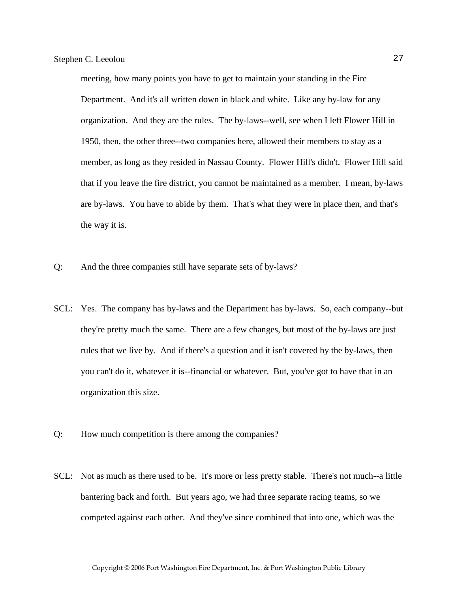meeting, how many points you have to get to maintain your standing in the Fire Department. And it's all written down in black and white. Like any by-law for any organization. And they are the rules. The by-laws--well, see when I left Flower Hill in 1950, then, the other three--two companies here, allowed their members to stay as a member, as long as they resided in Nassau County. Flower Hill's didn't. Flower Hill said that if you leave the fire district, you cannot be maintained as a member. I mean, by-laws are by-laws. You have to abide by them. That's what they were in place then, and that's the way it is.

- Q: And the three companies still have separate sets of by-laws?
- SCL: Yes. The company has by-laws and the Department has by-laws. So, each company--but they're pretty much the same. There are a few changes, but most of the by-laws are just rules that we live by. And if there's a question and it isn't covered by the by-laws, then you can't do it, whatever it is--financial or whatever. But, you've got to have that in an organization this size.
- Q: How much competition is there among the companies?
- SCL: Not as much as there used to be. It's more or less pretty stable. There's not much--a little bantering back and forth. But years ago, we had three separate racing teams, so we competed against each other. And they've since combined that into one, which was the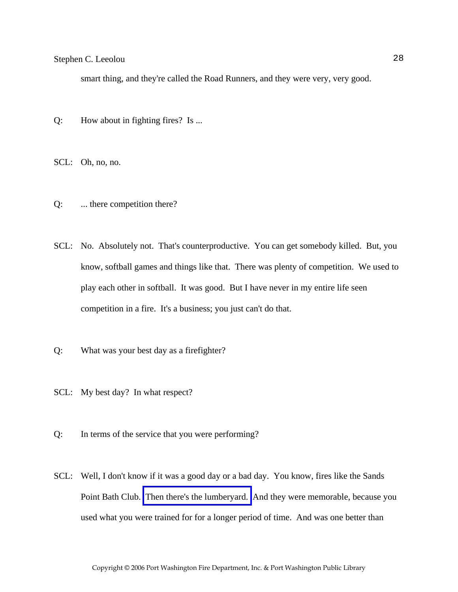smart thing, and they're called the Road Runners, and they were very, very good.

Q: How about in fighting fires? Is ...

SCL: Oh, no, no.

- Q: ... there competition there?
- SCL: No. Absolutely not. That's counterproductive. You can get somebody killed. But, you know, softball games and things like that. There was plenty of competition. We used to play each other in softball. It was good. But I have never in my entire life seen competition in a fire. It's a business; you just can't do that.
- Q: What was your best day as a firefighter?
- SCL: My best day? In what respect?
- Q: In terms of the service that you were performing?
- SCL: Well, I don't know if it was a good day or a bad day. You know, fires like the Sands Point Bath Club. [Then there's the lumberyard.](http://www.pwfdhistory.com/trans/leeolous_trans/peco_fires034_web.jpg) And they were memorable, because you used what you were trained for for a longer period of time. And was one better than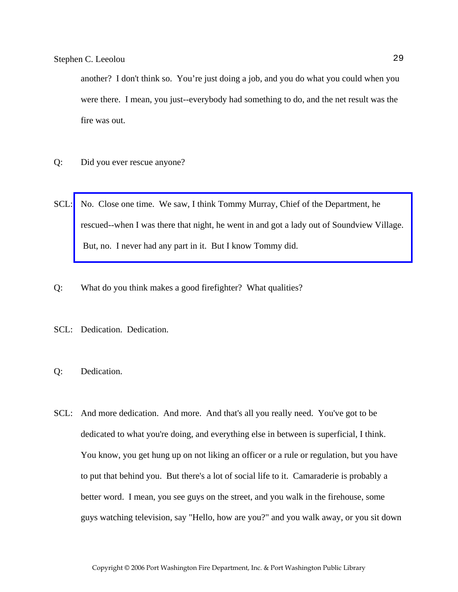another? I don't think so. You're just doing a job, and you do what you could when you were there. I mean, you just--everybody had something to do, and the net result was the fire was out.

- Q: Did you ever rescue anyone?
- SCL: No. Close one time. We saw, I think Tommy Murray, Chief of the Department, he [rescued--when I was there that night, he went in and got a lady out of Soundview Village.](http://www.pwfdhistory.com/trans/leeolous_trans/news_cocks350a_web.jpg)  But, no. I never had any part in it. But I know Tommy did.
- Q: What do you think makes a good firefighter? What qualities?
- SCL: Dedication. Dedication.
- Q: Dedication.
- SCL: And more dedication. And more. And that's all you really need. You've got to be dedicated to what you're doing, and everything else in between is superficial, I think. You know, you get hung up on not liking an officer or a rule or regulation, but you have to put that behind you. But there's a lot of social life to it. Camaraderie is probably a better word. I mean, you see guys on the street, and you walk in the firehouse, some guys watching television, say "Hello, how are you?" and you walk away, or you sit down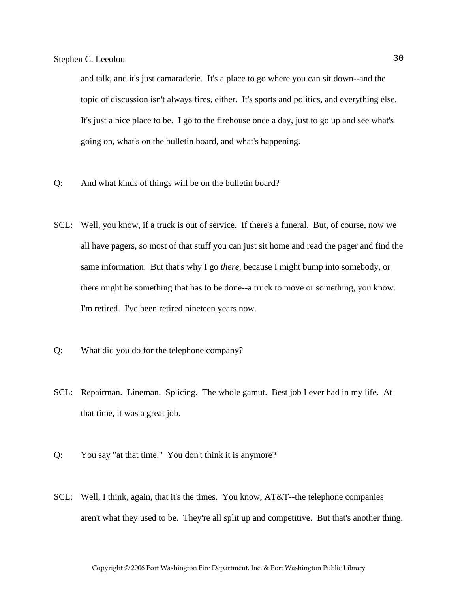and talk, and it's just camaraderie. It's a place to go where you can sit down--and the topic of discussion isn't always fires, either. It's sports and politics, and everything else. It's just a nice place to be. I go to the firehouse once a day, just to go up and see what's going on, what's on the bulletin board, and what's happening.

- Q: And what kinds of things will be on the bulletin board?
- SCL: Well, you know, if a truck is out of service. If there's a funeral. But, of course, now we all have pagers, so most of that stuff you can just sit home and read the pager and find the same information. But that's why I go *there*, because I might bump into somebody, or there might be something that has to be done--a truck to move or something, you know. I'm retired. I've been retired nineteen years now.
- Q: What did you do for the telephone company?
- SCL: Repairman. Lineman. Splicing. The whole gamut. Best job I ever had in my life. At that time, it was a great job.
- Q: You say "at that time." You don't think it is anymore?
- SCL: Well, I think, again, that it's the times. You know, AT&T--the telephone companies aren't what they used to be. They're all split up and competitive. But that's another thing.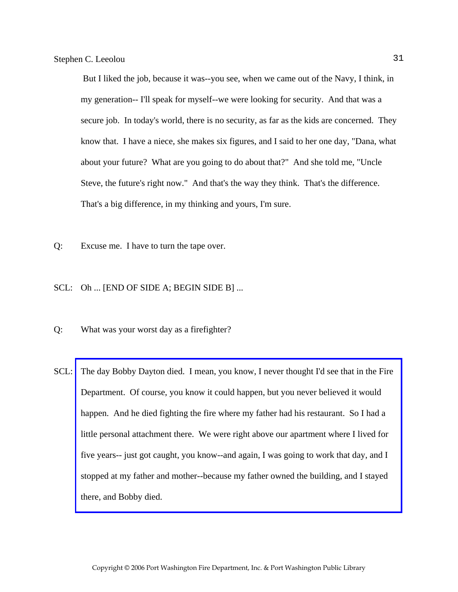But I liked the job, because it was--you see, when we came out of the Navy, I think, in my generation-- I'll speak for myself--we were looking for security. And that was a secure job. In today's world, there is no security, as far as the kids are concerned. They know that. I have a niece, she makes six figures, and I said to her one day, "Dana, what about your future? What are you going to do about that?" And she told me, "Uncle Steve, the future's right now." And that's the way they think. That's the difference. That's a big difference, in my thinking and yours, I'm sure.

Q: Excuse me. I have to turn the tape over.

#### SCL: Oh ... [END OF SIDE A; BEGIN SIDE B] ...

- Q: What was your worst day as a firefighter?
- SCL: [The day Bobby Dayton died. I mean, you know, I never thought I'd see that in the Fire](http://www.pwfdhistory.com/trans/leeolous_trans/pnews881201_pz_web.pdf)  Department. Of course, you know it could happen, but you never believed it would happen. And he died fighting the fire where my father had his restaurant. So I had a little personal attachment there. We were right above our apartment where I lived for five years-- just got caught, you know--and again, I was going to work that day, and I stopped at my father and mother--because my father owned the building, and I stayed there, and Bobby died.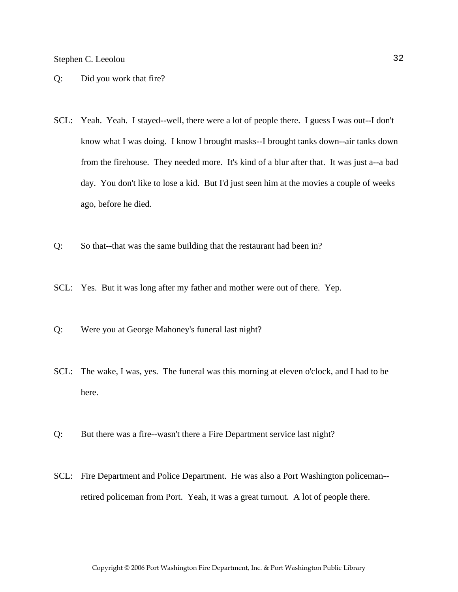- Q: Did you work that fire?
- SCL: Yeah. Yeah. I stayed--well, there were a lot of people there. I guess I was out--I don't know what I was doing. I know I brought masks--I brought tanks down--air tanks down from the firehouse. They needed more. It's kind of a blur after that. It was just a--a bad day. You don't like to lose a kid. But I'd just seen him at the movies a couple of weeks ago, before he died.
- Q: So that--that was the same building that the restaurant had been in?
- SCL: Yes. But it was long after my father and mother were out of there. Yep.
- Q: Were you at George Mahoney's funeral last night?
- SCL: The wake, I was, yes. The funeral was this morning at eleven o'clock, and I had to be here.
- Q: But there was a fire--wasn't there a Fire Department service last night?
- SCL: Fire Department and Police Department. He was also a Port Washington policeman- retired policeman from Port. Yeah, it was a great turnout. A lot of people there.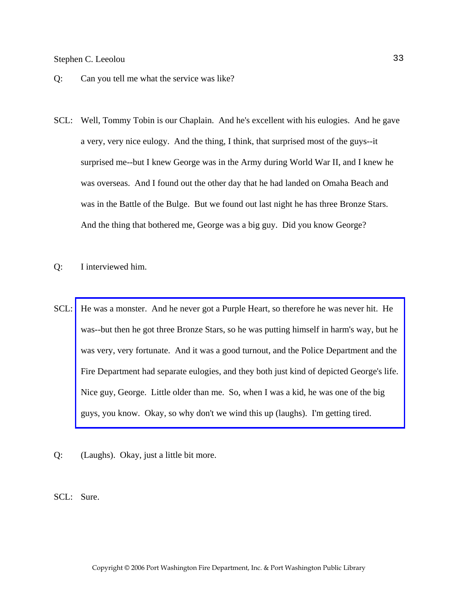- Q: Can you tell me what the service was like?
- SCL: Well, Tommy Tobin is our Chaplain. And he's excellent with his eulogies. And he gave a very, very nice eulogy. And the thing, I think, that surprised most of the guys--it surprised me--but I knew George was in the Army during World War II, and I knew he was overseas. And I found out the other day that he had landed on Omaha Beach and was in the Battle of the Bulge. But we found out last night he has three Bronze Stars. And the thing that bothered me, George was a big guy. Did you know George?
- Q: I interviewed him.
- SCL: He was a monster. And he never got a Purple Heart, so therefore he was never hit. He was--but then he got three Bronze Stars, so he was putting himself in harm's way, but he was very, very fortunate. And it was a good turnout, and the Police Department and the [Fire Department had separate eulogies, and they both just kind of depicted George's life.](http://www.pwfdhistory.com/trans/leeolous_trans/firefoc900712_pz_web.jpg)  Nice guy, George. Little older than me. So, when I was a kid, he was one of the big guys, you know. Okay, so why don't we wind this up (laughs). I'm getting tired.
- Q: (Laughs). Okay, just a little bit more.

SCL: Sure.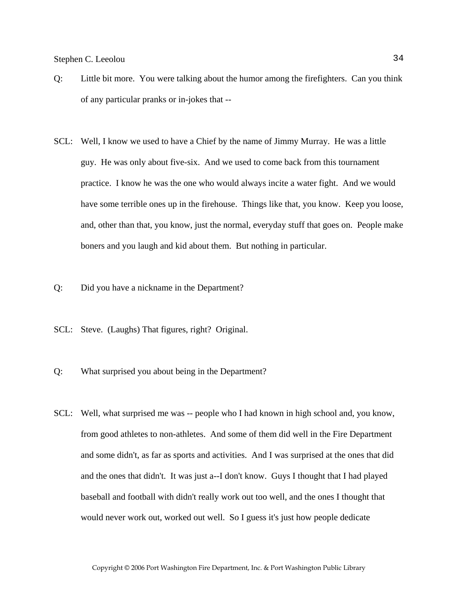- Q: Little bit more. You were talking about the humor among the firefighters. Can you think of any particular pranks or in-jokes that --
- SCL: Well, I know we used to have a Chief by the name of Jimmy Murray. He was a little guy. He was only about five-six. And we used to come back from this tournament practice. I know he was the one who would always incite a water fight. And we would have some terrible ones up in the firehouse. Things like that, you know. Keep you loose, and, other than that, you know, just the normal, everyday stuff that goes on. People make boners and you laugh and kid about them. But nothing in particular.
- Q: Did you have a nickname in the Department?
- SCL: Steve. (Laughs) That figures, right? Original.
- Q: What surprised you about being in the Department?
- SCL: Well, what surprised me was -- people who I had known in high school and, you know, from good athletes to non-athletes. And some of them did well in the Fire Department and some didn't, as far as sports and activities. And I was surprised at the ones that did and the ones that didn't. It was just a--I don't know. Guys I thought that I had played baseball and football with didn't really work out too well, and the ones I thought that would never work out, worked out well. So I guess it's just how people dedicate